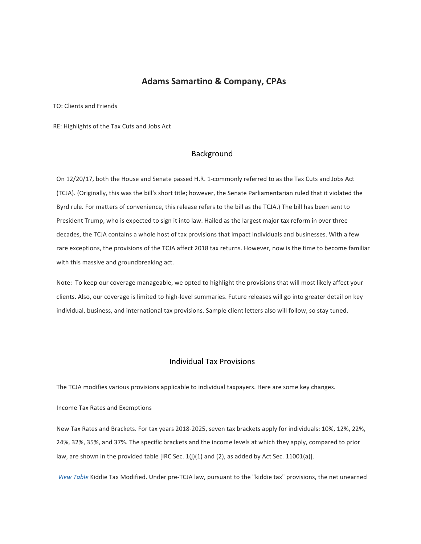# **Adams Samartino & Company, CPAs**

TO: Clients and Friends

RE: Highlights of the Tax Cuts and Jobs Act

# Background

On 12/20/17, both the House and Senate passed H.R. 1-commonly referred to as the Tax Cuts and Jobs Act (TCJA). (Originally, this was the bill's short title; however, the Senate Parliamentarian ruled that it violated the Byrd rule. For matters of convenience, this release refers to the bill as the TCJA.) The bill has been sent to President Trump, who is expected to sign it into law. Hailed as the largest major tax reform in over three decades, the TCJA contains a whole host of tax provisions that impact individuals and businesses. With a few rare exceptions, the provisions of the TCJA affect 2018 tax returns. However, now is the time to become familiar with this massive and groundbreaking act.

Note: To keep our coverage manageable, we opted to highlight the provisions that will most likely affect your clients. Also, our coverage is limited to high-level summaries. Future releases will go into greater detail on key individual, business, and international tax provisions. Sample client letters also will follow, so stay tuned.

# Individual Tax Provisions

The TCJA modifies various provisions applicable to individual taxpayers. Here are some key changes.

Income Tax Rates and Exemptions

New Tax Rates and Brackets. For tax years 2018-2025, seven tax brackets apply for individuals: 10%, 12%, 22%, 24%, 32%, 35%, and 37%. The specific brackets and the income levels at which they apply, compared to prior law, are shown in the provided table [IRC Sec.  $1(j)(1)$  and (2), as added by Act Sec. 11001(a)].

View Table Kiddie Tax Modified. Under pre-TCJA law, pursuant to the "kiddie tax" provisions, the net unearned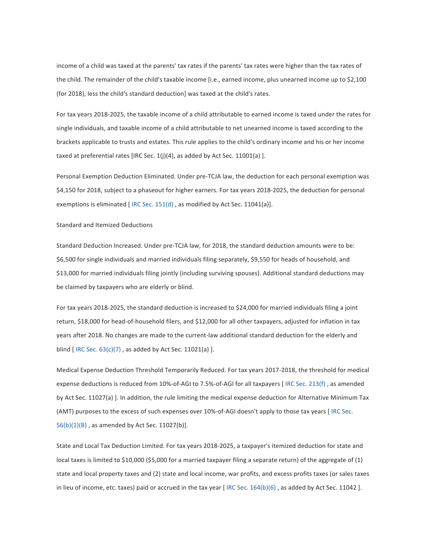income of a child was taxed at the parents' tax rates if the parents' tax rates were higher than the tax rates of the child. The remainder of the child's taxable income [i.e., earned income, plus unearned income up to \$2,100 (for 2018), less the child's standard deduction] was taxed at the child's rates.

For tax years 2018-2025, the taxable income of a child attributable to earned income is taxed under the rates for single individuals, and taxable income of a child attributable to net unearned income is taxed according to the brackets applicable to trusts and estates. This rule applies to the child's ordinary income and his or her income taxed at preferential rates [IRC Sec.  $1(j)(4)$ , as added by Act Sec. 11001(a) ].

Personal Exemption Deduction Eliminated. Under pre-TCJA law, the deduction for each personal exemption was \$4,150 for 2018, subject to a phaseout for higher earners. For tax years 2018-2025, the deduction for personal exemptions is eliminated [IRC Sec. 151(d), as modified by Act Sec. 11041(a)].

### Standard and Itemized Deductions

Standard Deduction Increased. Under pre-TCJA law, for 2018, the standard deduction amounts were to be: \$6,500 for single individuals and married individuals filing separately, \$9,550 for heads of household, and \$13,000 for married individuals filing jointly (including surviving spouses). Additional standard deductions may be claimed by taxpayers who are elderly or blind.

For tax years 2018-2025, the standard deduction is increased to \$24,000 for married individuals filing a joint return, \$18,000 for head-of-household filers, and \$12,000 for all other taxpayers, adjusted for inflation in tax years after 2018. No changes are made to the current-law additional standard deduction for the elderly and blind  $[$  IRC Sec.  $63(c)(7)$ , as added by Act Sec. 11021(a)  $]$ .

Medical Expense Deduction Threshold Temporarily Reduced. For tax years 2017-2018, the threshold for medical expense deductions is reduced from 10%-of-AGI to 7.5%-of-AGI for all taxpayers [IRC Sec. 213(f), as amended by Act Sec. 11027(a) ]. In addition, the rule limiting the medical expense deduction for Alternative Minimum Tax (AMT) purposes to the excess of such expenses over 10%-of-AGI doesn't apply to those tax years [ IRC Sec.  $56(b)(1)(B)$ , as amended by Act Sec. 11027(b)].

State and Local Tax Deduction Limited. For tax years 2018-2025, a taxpayer's itemized deduction for state and local taxes is limited to \$10,000 (\$5,000 for a married taxpayer filing a separate return) of the aggregate of (1) state and local property taxes and (2) state and local income, war profits, and excess profits taxes (or sales taxes in lieu of income, etc. taxes) paid or accrued in the tax year [IRC Sec.  $164(b)(6)$ , as added by Act Sec.  $11042$  ].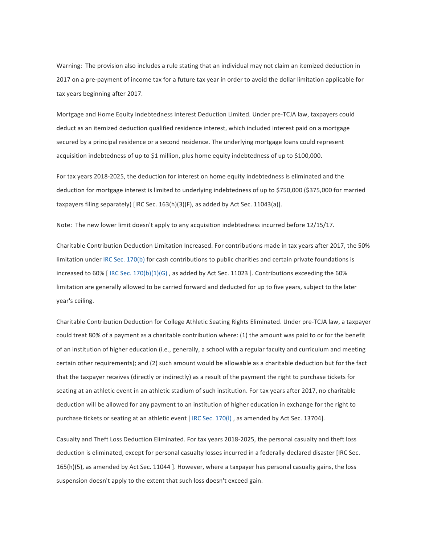Warning: The provision also includes a rule stating that an individual may not claim an itemized deduction in 2017 on a pre-payment of income tax for a future tax year in order to avoid the dollar limitation applicable for tax years beginning after 2017.

Mortgage and Home Equity Indebtedness Interest Deduction Limited. Under pre-TCJA law, taxpayers could deduct as an itemized deduction qualified residence interest, which included interest paid on a mortgage secured by a principal residence or a second residence. The underlying mortgage loans could represent acquisition indebtedness of up to \$1 million, plus home equity indebtedness of up to \$100,000.

For tax years 2018-2025, the deduction for interest on home equity indebtedness is eliminated and the deduction for mortgage interest is limited to underlying indebtedness of up to \$750,000 (\$375,000 for married taxpayers filing separately) [IRC Sec.  $163(h)(3)(F)$ , as added by Act Sec.  $11043(a)$ ].

Note: The new lower limit doesn't apply to any acquisition indebtedness incurred before 12/15/17.

Charitable Contribution Deduction Limitation Increased. For contributions made in tax years after 2017, the 50% limitation under IRC Sec. 170(b) for cash contributions to public charities and certain private foundations is increased to 60% [IRC Sec. 170(b)(1)(G), as added by Act Sec. 11023 ]. Contributions exceeding the 60% limitation are generally allowed to be carried forward and deducted for up to five years, subject to the later year's ceiling.

Charitable Contribution Deduction for College Athletic Seating Rights Eliminated. Under pre-TCJA law, a taxpayer could treat 80% of a payment as a charitable contribution where: (1) the amount was paid to or for the benefit of an institution of higher education (i.e., generally, a school with a regular faculty and curriculum and meeting certain other requirements); and (2) such amount would be allowable as a charitable deduction but for the fact that the taxpayer receives (directly or indirectly) as a result of the payment the right to purchase tickets for seating at an athletic event in an athletic stadium of such institution. For tax years after 2017, no charitable deduction will be allowed for any payment to an institution of higher education in exchange for the right to purchase tickets or seating at an athletic event [IRC Sec. 170(I), as amended by Act Sec. 13704].

Casualty and Theft Loss Deduction Eliminated. For tax years 2018-2025, the personal casualty and theft loss deduction is eliminated, except for personal casualty losses incurred in a federally-declared disaster [IRC Sec. 165(h)(5), as amended by Act Sec. 11044 ]. However, where a taxpayer has personal casualty gains, the loss suspension doesn't apply to the extent that such loss doesn't exceed gain.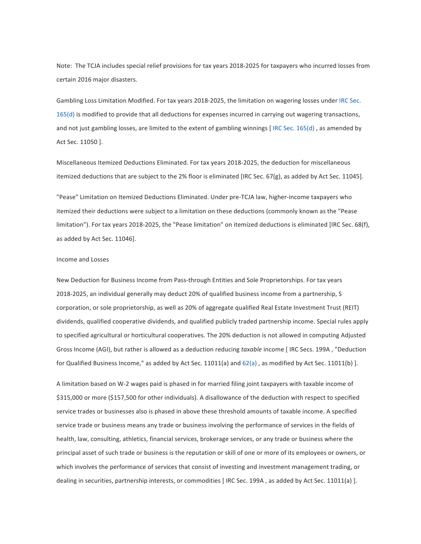Note: The TCJA includes special relief provisions for tax years 2018-2025 for taxpayers who incurred losses from certain 2016 major disasters.

Gambling Loss Limitation Modified. For tax years 2018-2025, the limitation on wagering losses under IRC Sec. 165(d) is modified to provide that all deductions for expenses incurred in carrying out wagering transactions, and not just gambling losses, are limited to the extent of gambling winnings [IRC Sec. 165(d), as amended by Act Sec. 11050 ].

Miscellaneous Itemized Deductions Eliminated. For tax years 2018-2025, the deduction for miscellaneous itemized deductions that are subject to the 2% floor is eliminated [IRC Sec. 67(g), as added by Act Sec. 11045].

"Pease" Limitation on Itemized Deductions Eliminated. Under pre-TCJA law, higher-income taxpayers who itemized their deductions were subject to a limitation on these deductions (commonly known as the "Pease limitation"). For tax years 2018-2025, the "Pease limitation" on itemized deductions is eliminated [IRC Sec. 68(f), as added by Act Sec. 11046].

### Income and Losses

New Deduction for Business Income from Pass-through Entities and Sole Proprietorships. For tax years 2018-2025, an individual generally may deduct 20% of qualified business income from a partnership, S corporation, or sole proprietorship, as well as 20% of aggregate qualified Real Estate Investment Trust (REIT) dividends, qualified cooperative dividends, and qualified publicly traded partnership income. Special rules apply to specified agricultural or horticultural cooperatives. The 20% deduction is not allowed in computing Adjusted Gross Income (AGI), but rather is allowed as a deduction reducing *taxable* income [IRC Secs. 199A, "Deduction for Qualified Business Income," as added by Act Sec. 11011(a) and  $62(a)$ , as modified by Act Sec. 11011(b) ].

A limitation based on W-2 wages paid is phased in for married filing joint taxpayers with taxable income of \$315,000 or more (\$157,500 for other individuals). A disallowance of the deduction with respect to specified service trades or businesses also is phased in above these threshold amounts of taxable income. A specified service trade or business means any trade or business involving the performance of services in the fields of health, law, consulting, athletics, financial services, brokerage services, or any trade or business where the principal asset of such trade or business is the reputation or skill of one or more of its employees or owners, or which involves the performance of services that consist of investing and investment management trading, or dealing in securities, partnership interests, or commodities [IRC Sec. 199A, as added by Act Sec. 11011(a) ].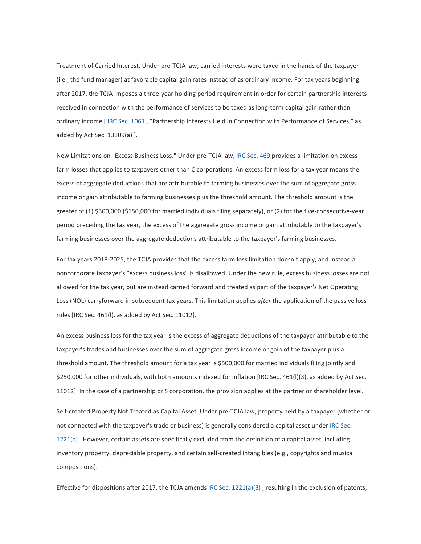Treatment of Carried Interest. Under pre-TCJA law, carried interests were taxed in the hands of the taxpayer (i.e., the fund manager) at favorable capital gain rates instead of as ordinary income. For tax years beginning after 2017, the TCJA imposes a three-year holding period requirement in order for certain partnership interests received in connection with the performance of services to be taxed as long-term capital gain rather than ordinary income [ IRC Sec. 1061, "Partnership Interests Held in Connection with Performance of Services," as added by Act Sec.  $13309(a)$  ].

New Limitations on "Excess Business Loss." Under pre-TCJA law, IRC Sec. 469 provides a limitation on excess farm losses that applies to taxpayers other than C corporations. An excess farm loss for a tax year means the excess of aggregate deductions that are attributable to farming businesses over the sum of aggregate gross income or gain attributable to farming businesses plus the threshold amount. The threshold amount is the greater of (1) \$300,000 (\$150,000 for married individuals filing separately), or (2) for the five-consecutive-year period preceding the tax year, the excess of the aggregate gross income or gain attributable to the taxpayer's farming businesses over the aggregate deductions attributable to the taxpayer's farming businesses.

For tax years 2018-2025, the TCJA provides that the excess farm loss limitation doesn't apply, and instead a noncorporate taxpayer's "excess business loss" is disallowed. Under the new rule, excess business losses are not allowed for the tax year, but are instead carried forward and treated as part of the taxpayer's Net Operating Loss (NOL) carryforward in subsequent tax years. This limitation applies *after* the application of the passive loss rules [IRC Sec. 461(I), as added by Act Sec. 11012].

An excess business loss for the tax year is the excess of aggregate deductions of the taxpayer attributable to the taxpayer's trades and businesses over the sum of aggregate gross income or gain of the taxpayer plus a threshold amount. The threshold amount for a tax year is \$500,000 for married individuals filing jointly and \$250,000 for other individuals, with both amounts indexed for inflation [IRC Sec. 461(I)(3), as added by Act Sec. 11012]. In the case of a partnership or S corporation, the provision applies at the partner or shareholder level.

Self-created Property Not Treated as Capital Asset. Under pre-TCJA law, property held by a taxpayer (whether or not connected with the taxpayer's trade or business) is generally considered a capital asset under IRC Sec. 1221(a) . However, certain assets are specifically excluded from the definition of a capital asset, including inventory property, depreciable property, and certain self-created intangibles (e.g., copyrights and musical compositions).

Effective for dispositions after 2017, the TCJA amends IRC Sec.  $1221(a)(3)$ , resulting in the exclusion of patents,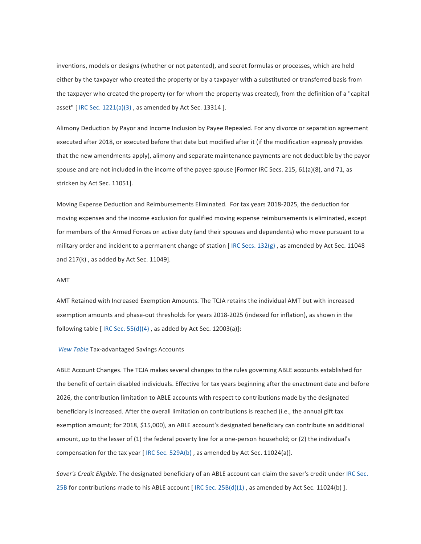inventions, models or designs (whether or not patented), and secret formulas or processes, which are held either by the taxpayer who created the property or by a taxpayer with a substituted or transferred basis from the taxpayer who created the property (or for whom the property was created), from the definition of a "capital asset" [IRC Sec.  $1221(a)(3)$ , as amended by Act Sec. 13314 ].

Alimony Deduction by Payor and Income Inclusion by Payee Repealed. For any divorce or separation agreement executed after 2018, or executed before that date but modified after it (if the modification expressly provides that the new amendments apply), alimony and separate maintenance payments are not deductible by the payor spouse and are not included in the income of the payee spouse [Former IRC Secs. 215, 61(a)(8), and 71, as stricken by Act Sec. 11051].

Moving Expense Deduction and Reimbursements Eliminated. For tax years 2018-2025, the deduction for moving expenses and the income exclusion for qualified moving expense reimbursements is eliminated, except for members of the Armed Forces on active duty (and their spouses and dependents) who move pursuant to a military order and incident to a permanent change of station  $[IRC Secs. 132(g)$ , as amended by Act Sec. 11048 and  $217(k)$ , as added by Act Sec. 11049].

## AMT

AMT Retained with Increased Exemption Amounts. The TCJA retains the individual AMT but with increased exemption amounts and phase-out thresholds for years 2018-2025 (indexed for inflation), as shown in the following table  $[$  IRC Sec. 55(d)(4), as added by Act Sec. 12003(a)]:

#### *View Table* Tax-advantaged Savings Accounts

ABLE Account Changes. The TCJA makes several changes to the rules governing ABLE accounts established for the benefit of certain disabled individuals. Effective for tax years beginning after the enactment date and before 2026, the contribution limitation to ABLE accounts with respect to contributions made by the designated beneficiary is increased. After the overall limitation on contributions is reached (i.e., the annual gift tax exemption amount; for 2018, \$15,000), an ABLE account's designated beneficiary can contribute an additional amount, up to the lesser of (1) the federal poverty line for a one-person household; or (2) the individual's compensation for the tax year  $[$  IRC Sec. 529A(b), as amended by Act Sec. 11024(a)].

Saver's Credit Eligible. The designated beneficiary of an ABLE account can claim the saver's credit under IRC Sec. 25B for contributions made to his ABLE account  $[$  IRC Sec. 25B(d)(1) , as amended by Act Sec. 11024(b) ].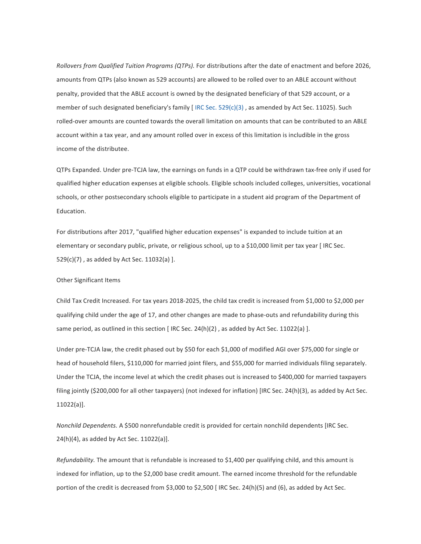*Rollovers from Qualified Tuition Programs (QTPs).* For distributions after the date of enactment and before 2026, amounts from QTPs (also known as 529 accounts) are allowed to be rolled over to an ABLE account without penalty, provided that the ABLE account is owned by the designated beneficiary of that 529 account, or a member of such designated beneficiary's family  $[$  IRC Sec. 529(c)(3), as amended by Act Sec. 11025). Such rolled-over amounts are counted towards the overall limitation on amounts that can be contributed to an ABLE account within a tax year, and any amount rolled over in excess of this limitation is includible in the gross income of the distributee.

QTPs Expanded. Under pre-TCJA law, the earnings on funds in a QTP could be withdrawn tax-free only if used for qualified higher education expenses at eligible schools. Eligible schools included colleges, universities, vocational schools, or other postsecondary schools eligible to participate in a student aid program of the Department of Education.

For distributions after 2017, "qualified higher education expenses" is expanded to include tuition at an elementary or secondary public, private, or religious school, up to a \$10,000 limit per tax year [ IRC Sec.  $529(c)(7)$ , as added by Act Sec.  $11032(a)$  ].

### Other Significant Items

Child Tax Credit Increased. For tax years 2018-2025, the child tax credit is increased from \$1,000 to \$2,000 per qualifying child under the age of 17, and other changes are made to phase-outs and refundability during this same period, as outlined in this section [IRC Sec.  $24(h)(2)$ , as added by Act Sec. 11022(a) ].

Under pre-TCJA law, the credit phased out by \$50 for each \$1,000 of modified AGI over \$75,000 for single or head of household filers, \$110,000 for married joint filers, and \$55,000 for married individuals filing separately. Under the TCJA, the income level at which the credit phases out is increased to \$400,000 for married taxpayers filing jointly  $(5200,000$  for all other taxpayers) (not indexed for inflation) [IRC Sec. 24(h)(3), as added by Act Sec. 11022(a)].

*Nonchild Dependents.* A \$500 nonrefundable credit is provided for certain nonchild dependents [IRC Sec.  $24(h)(4)$ , as added by Act Sec.  $11022(a)$ ].

*Refundability*. The amount that is refundable is increased to \$1,400 per qualifying child, and this amount is indexed for inflation, up to the \$2,000 base credit amount. The earned income threshold for the refundable portion of the credit is decreased from \$3,000 to \$2,500 [IRC Sec. 24(h)(5) and (6), as added by Act Sec.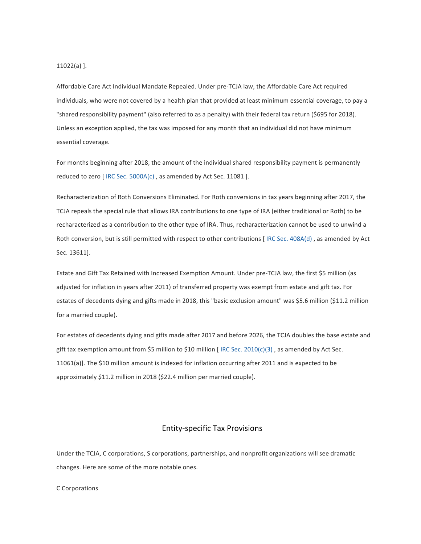$11022(a)$ ].

Affordable Care Act Individual Mandate Repealed. Under pre-TCJA law, the Affordable Care Act required individuals, who were not covered by a health plan that provided at least minimum essential coverage, to pay a "shared responsibility payment" (also referred to as a penalty) with their federal tax return (\$695 for 2018). Unless an exception applied, the tax was imposed for any month that an individual did not have minimum essential coverage.

For months beginning after 2018, the amount of the individual shared responsibility payment is permanently reduced to zero [IRC Sec.  $5000A(c)$ , as amended by Act Sec. 11081 ].

Recharacterization of Roth Conversions Eliminated. For Roth conversions in tax years beginning after 2017, the TCJA repeals the special rule that allows IRA contributions to one type of IRA (either traditional or Roth) to be recharacterized as a contribution to the other type of IRA. Thus, recharacterization cannot be used to unwind a Roth conversion, but is still permitted with respect to other contributions [IRC Sec. 408A(d), as amended by Act Sec. 13611].

Estate and Gift Tax Retained with Increased Exemption Amount. Under pre-TCJA law, the first \$5 million (as adjusted for inflation in years after 2011) of transferred property was exempt from estate and gift tax. For estates of decedents dying and gifts made in 2018, this "basic exclusion amount" was \$5.6 million (\$11.2 million for a married couple).

For estates of decedents dying and gifts made after 2017 and before 2026, the TCJA doubles the base estate and gift tax exemption amount from \$5 million to \$10 million [ IRC Sec. 2010(c)(3) , as amended by Act Sec. 11061(a)]. The \$10 million amount is indexed for inflation occurring after 2011 and is expected to be approximately \$11.2 million in 2018 (\$22.4 million per married couple).

# Entity-specific Tax Provisions

Under the TCJA, C corporations, S corporations, partnerships, and nonprofit organizations will see dramatic changes. Here are some of the more notable ones.

## C Corporations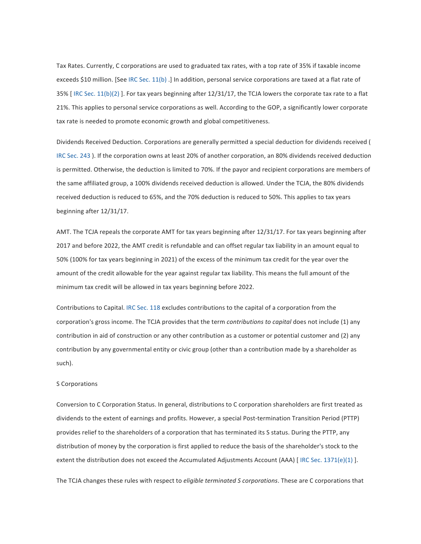Tax Rates. Currently, C corporations are used to graduated tax rates, with a top rate of 35% if taxable income exceeds \$10 million. [See IRC Sec. 11(b).] In addition, personal service corporations are taxed at a flat rate of 35% [IRC Sec.  $11(b)(2)$ ]. For tax years beginning after  $12/31/17$ , the TCJA lowers the corporate tax rate to a flat 21%. This applies to personal service corporations as well. According to the GOP, a significantly lower corporate tax rate is needed to promote economic growth and global competitiveness.

Dividends Received Deduction. Corporations are generally permitted a special deduction for dividends received ( IRC Sec. 243 ). If the corporation owns at least 20% of another corporation, an 80% dividends received deduction is permitted. Otherwise, the deduction is limited to 70%. If the payor and recipient corporations are members of the same affiliated group, a 100% dividends received deduction is allowed. Under the TCJA, the 80% dividends received deduction is reduced to 65%, and the 70% deduction is reduced to 50%. This applies to tax years beginning after 12/31/17.

AMT. The TCJA repeals the corporate AMT for tax years beginning after 12/31/17. For tax years beginning after 2017 and before 2022, the AMT credit is refundable and can offset regular tax liability in an amount equal to 50% (100% for tax years beginning in 2021) of the excess of the minimum tax credit for the year over the amount of the credit allowable for the year against regular tax liability. This means the full amount of the minimum tax credit will be allowed in tax years beginning before 2022.

Contributions to Capital. IRC Sec. 118 excludes contributions to the capital of a corporation from the corporation's gross income. The TCJA provides that the term *contributions to capital* does not include (1) any contribution in aid of construction or any other contribution as a customer or potential customer and (2) any contribution by any governmental entity or civic group (other than a contribution made by a shareholder as such).

#### S Corporations

Conversion to C Corporation Status. In general, distributions to C corporation shareholders are first treated as dividends to the extent of earnings and profits. However, a special Post-termination Transition Period (PTTP) provides relief to the shareholders of a corporation that has terminated its S status. During the PTTP, any distribution of money by the corporation is first applied to reduce the basis of the shareholder's stock to the extent the distribution does not exceed the Accumulated Adjustments Account (AAA) [IRC Sec. 1371(e)(1) ].

The TCJA changes these rules with respect to *eligible terminated S corporations*. These are C corporations that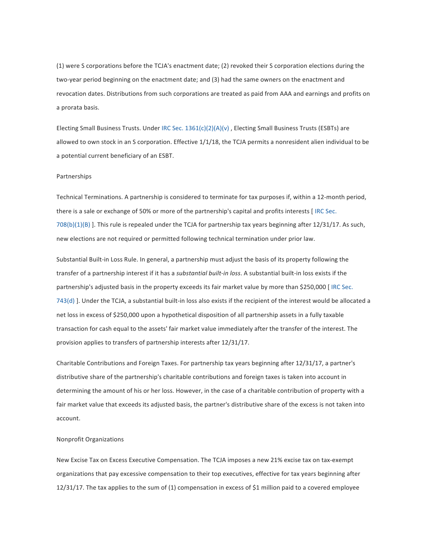(1) were S corporations before the TCJA's enactment date; (2) revoked their S corporation elections during the two-year period beginning on the enactment date; and (3) had the same owners on the enactment and revocation dates. Distributions from such corporations are treated as paid from AAA and earnings and profits on a prorata basis.

Electing Small Business Trusts. Under IRC Sec.  $1361(c)(2)(A)(v)$ , Electing Small Business Trusts (ESBTs) are allowed to own stock in an S corporation. Effective 1/1/18, the TCJA permits a nonresident alien individual to be a potential current beneficiary of an ESBT.

### Partnerships

Technical Terminations. A partnership is considered to terminate for tax purposes if, within a 12-month period, there is a sale or exchange of 50% or more of the partnership's capital and profits interests [IRC Sec.  $708(b)(1)(B)$ ]. This rule is repealed under the TCJA for partnership tax years beginning after  $12/31/17$ . As such, new elections are not required or permitted following technical termination under prior law.

Substantial Built-in Loss Rule. In general, a partnership must adjust the basis of its property following the transfer of a partnership interest if it has a *substantial built-in loss*. A substantial built-in loss exists if the partnership's adjusted basis in the property exceeds its fair market value by more than \$250,000 [IRC Sec. 743(d) ]. Under the TCJA, a substantial built-in loss also exists if the recipient of the interest would be allocated a net loss in excess of \$250,000 upon a hypothetical disposition of all partnership assets in a fully taxable transaction for cash equal to the assets' fair market value immediately after the transfer of the interest. The provision applies to transfers of partnership interests after  $12/31/17$ .

Charitable Contributions and Foreign Taxes. For partnership tax years beginning after 12/31/17, a partner's distributive share of the partnership's charitable contributions and foreign taxes is taken into account in determining the amount of his or her loss. However, in the case of a charitable contribution of property with a fair market value that exceeds its adjusted basis, the partner's distributive share of the excess is not taken into account.

### Nonprofit Organizations

New Excise Tax on Excess Executive Compensation. The TCJA imposes a new 21% excise tax on tax-exempt organizations that pay excessive compensation to their top executives, effective for tax years beginning after 12/31/17. The tax applies to the sum of (1) compensation in excess of \$1 million paid to a covered employee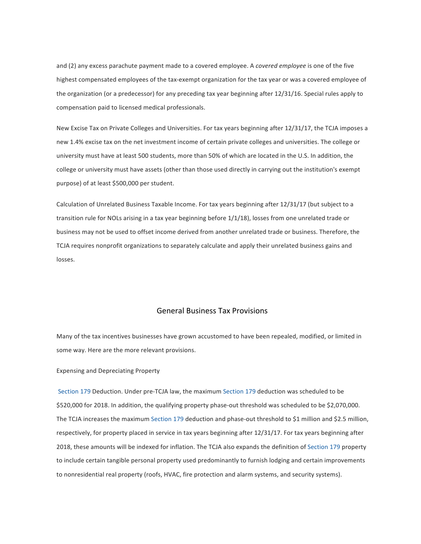and (2) any excess parachute payment made to a covered employee. A *covered employee* is one of the five highest compensated employees of the tax-exempt organization for the tax year or was a covered employee of the organization (or a predecessor) for any preceding tax year beginning after 12/31/16. Special rules apply to compensation paid to licensed medical professionals.

New Excise Tax on Private Colleges and Universities. For tax years beginning after 12/31/17, the TCJA imposes a new 1.4% excise tax on the net investment income of certain private colleges and universities. The college or university must have at least 500 students, more than 50% of which are located in the U.S. In addition, the college or university must have assets (other than those used directly in carrying out the institution's exempt purpose) of at least \$500,000 per student.

Calculation of Unrelated Business Taxable Income. For tax years beginning after 12/31/17 (but subject to a transition rule for NOLs arising in a tax year beginning before 1/1/18), losses from one unrelated trade or business may not be used to offset income derived from another unrelated trade or business. Therefore, the TCJA requires nonprofit organizations to separately calculate and apply their unrelated business gains and losses.

# General Business Tax Provisions

Many of the tax incentives businesses have grown accustomed to have been repealed, modified, or limited in some way. Here are the more relevant provisions.

Expensing and Depreciating Property

Section 179 Deduction. Under pre-TCJA law, the maximum Section 179 deduction was scheduled to be \$520,000 for 2018. In addition, the qualifying property phase-out threshold was scheduled to be \$2,070,000. The TCJA increases the maximum Section 179 deduction and phase-out threshold to \$1 million and \$2.5 million, respectively, for property placed in service in tax years beginning after 12/31/17. For tax years beginning after 2018, these amounts will be indexed for inflation. The TCJA also expands the definition of Section 179 property to include certain tangible personal property used predominantly to furnish lodging and certain improvements to nonresidential real property (roofs, HVAC, fire protection and alarm systems, and security systems).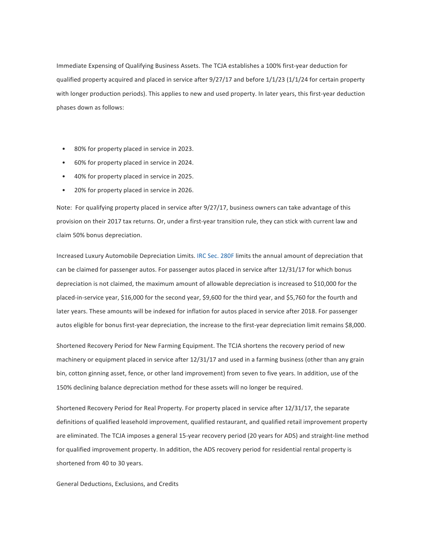Immediate Expensing of Qualifying Business Assets. The TCJA establishes a 100% first-year deduction for qualified property acquired and placed in service after 9/27/17 and before 1/1/23 (1/1/24 for certain property with longer production periods). This applies to new and used property. In later years, this first-year deduction phases down as follows:

- 80% for property placed in service in 2023.
- 60% for property placed in service in 2024.
- 40% for property placed in service in 2025.
- 20% for property placed in service in 2026.

Note: For qualifying property placed in service after  $9/27/17$ , business owners can take advantage of this provision on their 2017 tax returns. Or, under a first-year transition rule, they can stick with current law and claim 50% bonus depreciation.

Increased Luxury Automobile Depreciation Limits. IRC Sec. 280F limits the annual amount of depreciation that can be claimed for passenger autos. For passenger autos placed in service after 12/31/17 for which bonus depreciation is not claimed, the maximum amount of allowable depreciation is increased to \$10,000 for the placed-in-service year, \$16,000 for the second year, \$9,600 for the third year, and \$5,760 for the fourth and later years. These amounts will be indexed for inflation for autos placed in service after 2018. For passenger autos eligible for bonus first-year depreciation, the increase to the first-year depreciation limit remains \$8,000.

Shortened Recovery Period for New Farming Equipment. The TCJA shortens the recovery period of new machinery or equipment placed in service after 12/31/17 and used in a farming business (other than any grain bin, cotton ginning asset, fence, or other land improvement) from seven to five years. In addition, use of the 150% declining balance depreciation method for these assets will no longer be required.

Shortened Recovery Period for Real Property. For property placed in service after 12/31/17, the separate definitions of qualified leasehold improvement, qualified restaurant, and qualified retail improvement property are eliminated. The TCJA imposes a general 15-year recovery period (20 years for ADS) and straight-line method for qualified improvement property. In addition, the ADS recovery period for residential rental property is shortened from 40 to 30 years.

General Deductions, Exclusions, and Credits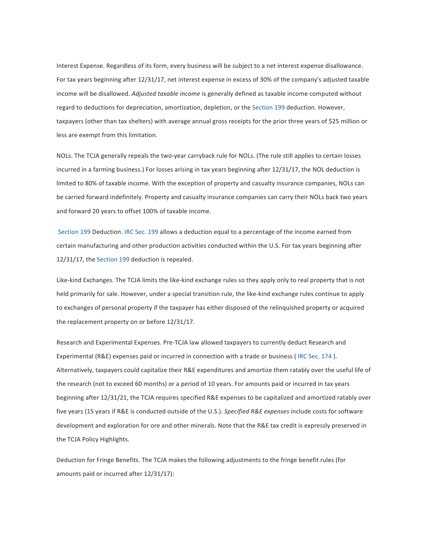Interest Expense. Regardless of its form, every business will be subject to a net interest expense disallowance. For tax years beginning after 12/31/17, net interest expense in excess of 30% of the company's adjusted taxable income will be disallowed. *Adjusted taxable income* is generally defined as taxable income computed without regard to deductions for depreciation, amortization, depletion, or the Section 199 deduction. However, taxpayers (other than tax shelters) with average annual gross receipts for the prior three years of \$25 million or less are exempt from this limitation.

NOLs. The TCJA generally repeals the two-year carryback rule for NOLs. (The rule still applies to certain losses incurred in a farming business.) For losses arising in tax years beginning after 12/31/17, the NOL deduction is limited to 80% of taxable income. With the exception of property and casualty insurance companies, NOLs can be carried forward indefinitely. Property and casualty insurance companies can carry their NOLs back two years and forward 20 years to offset 100% of taxable income.

Section 199 Deduction. IRC Sec. 199 allows a deduction equal to a percentage of the income earned from certain manufacturing and other production activities conducted within the U.S. For tax years beginning after 12/31/17, the Section 199 deduction is repealed.

Like-kind Exchanges. The TCJA limits the like-kind exchange rules so they apply only to real property that is not held primarily for sale. However, under a special transition rule, the like-kind exchange rules continue to apply to exchanges of personal property if the taxpayer has either disposed of the relinquished property or acquired the replacement property on or before  $12/31/17$ .

Research and Experimental Expenses. Pre-TCJA law allowed taxpayers to currently deduct Research and Experimental (R&E) expenses paid or incurred in connection with a trade or business (IRC Sec. 174). Alternatively, taxpayers could capitalize their R&E expenditures and amortize them ratably over the useful life of the research (not to exceed 60 months) or a period of 10 years. For amounts paid or incurred in tax years beginning after 12/31/21, the TCJA requires specified R&E expenses to be capitalized and amortized ratably over five years (15 years if R&E is conducted outside of the U.S.). Specified R&E expenses include costs for software development and exploration for ore and other minerals. Note that the R&E tax credit is expressly preserved in the TCJA Policy Highlights.

Deduction for Fringe Benefits. The TCJA makes the following adjustments to the fringe benefit rules (for amounts paid or incurred after  $12/31/17$ ):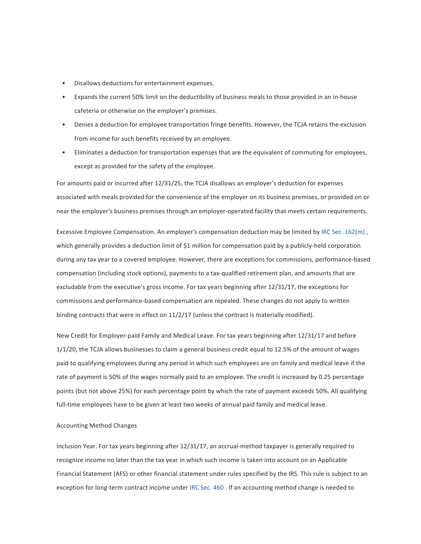- Disallows deductions for entertainment expenses.
- Expands the current 50% limit on the deductibility of business meals to those provided in an in-house cafeteria or otherwise on the employer's premises.
- Denies a deduction for employee transportation fringe benefits. However, the TCJA retains the exclusion from income for such benefits received by an employee.
- Eliminates a deduction for transportation expenses that are the equivalent of commuting for employees, except as provided for the safety of the employee.

For amounts paid or incurred after 12/31/25, the TCJA disallows an employer's deduction for expenses associated with meals provided for the convenience of the employer on its business premises, or provided on or near the employer's business premises through an employer-operated facility that meets certain requirements.

Excessive Employee Compensation. An employer's compensation deduction may be limited by IRC Sec. 162(m). which generally provides a deduction limit of \$1 million for compensation paid by a publicly-held corporation during any tax year to a covered employee. However, there are exceptions for commissions, performance-based compensation (including stock options), payments to a tax-qualified retirement plan, and amounts that are excludable from the executive's gross income. For tax years beginning after 12/31/17, the exceptions for commissions and performance-based compensation are repealed. These changes do not apply to written binding contracts that were in effect on  $11/2/17$  (unless the contract is materially modified).

New Credit for Employer-paid Family and Medical Leave. For tax years beginning after 12/31/17 and before 1/1/20, the TCJA allows businesses to claim a general business credit equal to 12.5% of the amount of wages paid to qualifying employees during any period in which such employees are on family and medical leave if the rate of payment is 50% of the wages normally paid to an employee. The credit is increased by 0.25 percentage points (but not above 25%) for each percentage point by which the rate of payment exceeds 50%. All qualifying full-time employees have to be given at least two weeks of annual paid family and medical leave.

### Accounting Method Changes

Inclusion Year. For tax years beginning after 12/31/17, an accrual-method taxpayer is generally required to recognize income no later than the tax year in which such income is taken into account on an Applicable Financial Statement (AFS) or other financial statement under rules specified by the IRS. This rule is subject to an exception for long-term contract income under IRC Sec. 460 . If an accounting method change is needed to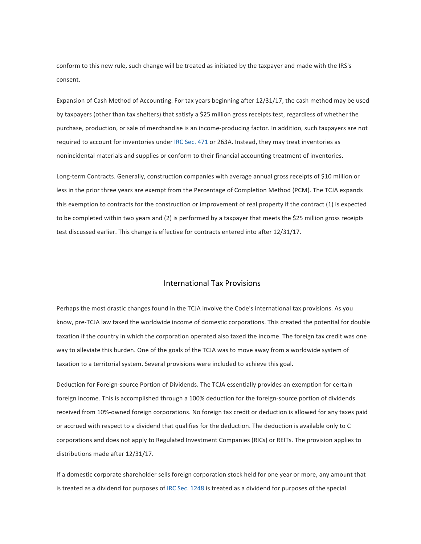conform to this new rule, such change will be treated as initiated by the taxpayer and made with the IRS's consent.

Expansion of Cash Method of Accounting. For tax years beginning after 12/31/17, the cash method may be used by taxpayers (other than tax shelters) that satisfy a \$25 million gross receipts test, regardless of whether the purchase, production, or sale of merchandise is an income-producing factor. In addition, such taxpayers are not required to account for inventories under IRC Sec. 471 or 263A. Instead, they may treat inventories as nonincidental materials and supplies or conform to their financial accounting treatment of inventories.

Long-term Contracts. Generally, construction companies with average annual gross receipts of \$10 million or less in the prior three years are exempt from the Percentage of Completion Method (PCM). The TCJA expands this exemption to contracts for the construction or improvement of real property if the contract (1) is expected to be completed within two years and (2) is performed by a taxpayer that meets the \$25 million gross receipts test discussed earlier. This change is effective for contracts entered into after 12/31/17.

# International Tax Provisions

Perhaps the most drastic changes found in the TCJA involve the Code's international tax provisions. As you know, pre-TCJA law taxed the worldwide income of domestic corporations. This created the potential for double taxation if the country in which the corporation operated also taxed the income. The foreign tax credit was one way to alleviate this burden. One of the goals of the TCJA was to move away from a worldwide system of taxation to a territorial system. Several provisions were included to achieve this goal.

Deduction for Foreign-source Portion of Dividends. The TCJA essentially provides an exemption for certain foreign income. This is accomplished through a 100% deduction for the foreign-source portion of dividends received from 10%-owned foreign corporations. No foreign tax credit or deduction is allowed for any taxes paid or accrued with respect to a dividend that qualifies for the deduction. The deduction is available only to C corporations and does not apply to Regulated Investment Companies (RICs) or REITs. The provision applies to distributions made after 12/31/17.

If a domestic corporate shareholder sells foreign corporation stock held for one year or more, any amount that is treated as a dividend for purposes of IRC Sec. 1248 is treated as a dividend for purposes of the special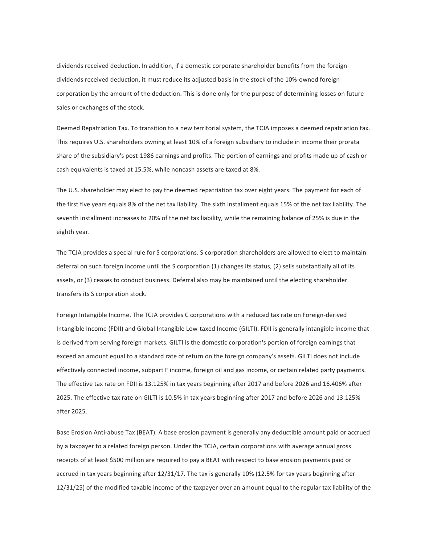dividends received deduction. In addition, if a domestic corporate shareholder benefits from the foreign dividends received deduction, it must reduce its adjusted basis in the stock of the 10%-owned foreign corporation by the amount of the deduction. This is done only for the purpose of determining losses on future sales or exchanges of the stock.

Deemed Repatriation Tax. To transition to a new territorial system, the TCJA imposes a deemed repatriation tax. This requires U.S. shareholders owning at least 10% of a foreign subsidiary to include in income their prorata share of the subsidiary's post-1986 earnings and profits. The portion of earnings and profits made up of cash or cash equivalents is taxed at 15.5%, while noncash assets are taxed at 8%.

The U.S. shareholder may elect to pay the deemed repatriation tax over eight years. The payment for each of the first five years equals 8% of the net tax liability. The sixth installment equals 15% of the net tax liability. The seventh installment increases to 20% of the net tax liability, while the remaining balance of 25% is due in the eighth year.

The TCJA provides a special rule for S corporations. S corporation shareholders are allowed to elect to maintain deferral on such foreign income until the S corporation (1) changes its status, (2) sells substantially all of its assets, or (3) ceases to conduct business. Deferral also may be maintained until the electing shareholder transfers its S corporation stock.

Foreign Intangible Income. The TCJA provides C corporations with a reduced tax rate on Foreign-derived Intangible Income (FDII) and Global Intangible Low-taxed Income (GILTI). FDII is generally intangible income that is derived from serving foreign markets. GILTI is the domestic corporation's portion of foreign earnings that exceed an amount equal to a standard rate of return on the foreign company's assets. GILTI does not include effectively connected income, subpart F income, foreign oil and gas income, or certain related party payments. The effective tax rate on FDII is 13.125% in tax years beginning after 2017 and before 2026 and 16.406% after 2025. The effective tax rate on GILTI is 10.5% in tax years beginning after 2017 and before 2026 and 13.125% after 2025.

Base Erosion Anti-abuse Tax (BEAT). A base erosion payment is generally any deductible amount paid or accrued by a taxpayer to a related foreign person. Under the TCJA, certain corporations with average annual gross receipts of at least \$500 million are required to pay a BEAT with respect to base erosion payments paid or accrued in tax years beginning after 12/31/17. The tax is generally 10% (12.5% for tax years beginning after 12/31/25) of the modified taxable income of the taxpayer over an amount equal to the regular tax liability of the